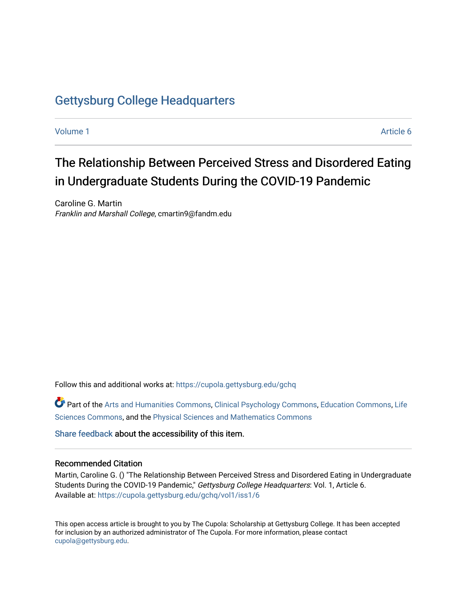# [Gettysburg College Headquarters](https://cupola.gettysburg.edu/gchq)

[Volume 1](https://cupola.gettysburg.edu/gchq/vol1) Article 6

# The Relationship Between Perceived Stress and Disordered Eating in Undergraduate Students During the COVID-19 Pandemic

Caroline G. Martin Franklin and Marshall College, cmartin9@fandm.edu

Follow this and additional works at: [https://cupola.gettysburg.edu/gchq](https://cupola.gettysburg.edu/gchq?utm_source=cupola.gettysburg.edu%2Fgchq%2Fvol1%2Fiss1%2F6&utm_medium=PDF&utm_campaign=PDFCoverPages)

Part of the [Arts and Humanities Commons,](https://network.bepress.com/hgg/discipline/438?utm_source=cupola.gettysburg.edu%2Fgchq%2Fvol1%2Fiss1%2F6&utm_medium=PDF&utm_campaign=PDFCoverPages) [Clinical Psychology Commons,](https://network.bepress.com/hgg/discipline/406?utm_source=cupola.gettysburg.edu%2Fgchq%2Fvol1%2Fiss1%2F6&utm_medium=PDF&utm_campaign=PDFCoverPages) [Education Commons](https://network.bepress.com/hgg/discipline/784?utm_source=cupola.gettysburg.edu%2Fgchq%2Fvol1%2Fiss1%2F6&utm_medium=PDF&utm_campaign=PDFCoverPages), [Life](https://network.bepress.com/hgg/discipline/1016?utm_source=cupola.gettysburg.edu%2Fgchq%2Fvol1%2Fiss1%2F6&utm_medium=PDF&utm_campaign=PDFCoverPages) [Sciences Commons,](https://network.bepress.com/hgg/discipline/1016?utm_source=cupola.gettysburg.edu%2Fgchq%2Fvol1%2Fiss1%2F6&utm_medium=PDF&utm_campaign=PDFCoverPages) and the [Physical Sciences and Mathematics Commons](https://network.bepress.com/hgg/discipline/114?utm_source=cupola.gettysburg.edu%2Fgchq%2Fvol1%2Fiss1%2F6&utm_medium=PDF&utm_campaign=PDFCoverPages)

[Share feedback](https://docs.google.com/a/bepress.com/forms/d/1h9eEcpBPj5POs5oO6Y5A0blXRmZqykoonyYiZUNyEq8/viewform) about the accessibility of this item.

#### Recommended Citation

Martin, Caroline G. () "The Relationship Between Perceived Stress and Disordered Eating in Undergraduate Students During the COVID-19 Pandemic," Gettysburg College Headquarters: Vol. 1, Article 6. Available at: [https://cupola.gettysburg.edu/gchq/vol1/iss1/6](https://cupola.gettysburg.edu/gchq/vol1/iss1/6?utm_source=cupola.gettysburg.edu%2Fgchq%2Fvol1%2Fiss1%2F6&utm_medium=PDF&utm_campaign=PDFCoverPages) 

This open access article is brought to you by The Cupola: Scholarship at Gettysburg College. It has been accepted for inclusion by an authorized administrator of The Cupola. For more information, please contact [cupola@gettysburg.edu.](mailto:cupola@gettysburg.edu)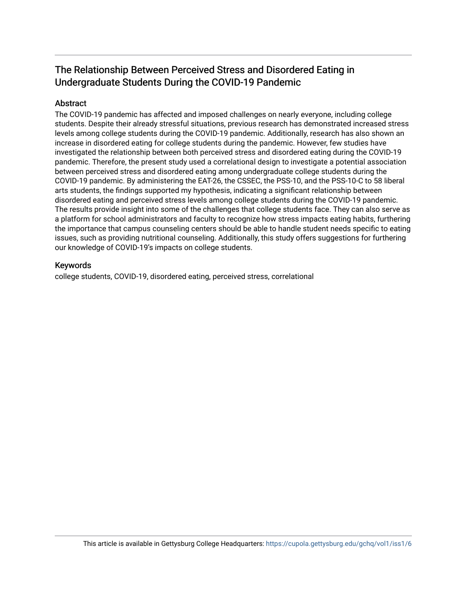# The Relationship Between Perceived Stress and Disordered Eating in Undergraduate Students During the COVID-19 Pandemic

# **Abstract**

The COVID-19 pandemic has affected and imposed challenges on nearly everyone, including college students. Despite their already stressful situations, previous research has demonstrated increased stress levels among college students during the COVID-19 pandemic. Additionally, research has also shown an increase in disordered eating for college students during the pandemic. However, few studies have investigated the relationship between both perceived stress and disordered eating during the COVID-19 pandemic. Therefore, the present study used a correlational design to investigate a potential association between perceived stress and disordered eating among undergraduate college students during the COVID-19 pandemic. By administering the EAT-26, the CSSEC, the PSS-10, and the PSS-10-C to 58 liberal arts students, the findings supported my hypothesis, indicating a significant relationship between disordered eating and perceived stress levels among college students during the COVID-19 pandemic. The results provide insight into some of the challenges that college students face. They can also serve as a platform for school administrators and faculty to recognize how stress impacts eating habits, furthering the importance that campus counseling centers should be able to handle student needs specific to eating issues, such as providing nutritional counseling. Additionally, this study offers suggestions for furthering our knowledge of COVID-19's impacts on college students.

# Keywords

college students, COVID-19, disordered eating, perceived stress, correlational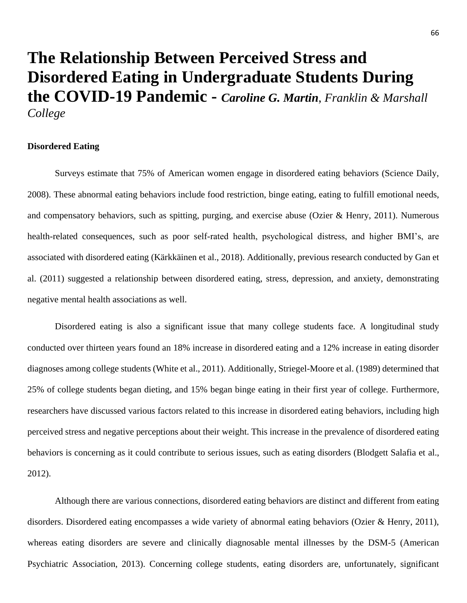# **The Relationship Between Perceived Stress and Disordered Eating in Undergraduate Students During the COVID-19 Pandemic -** *Caroline G. Martin*, *Franklin & Marshall College*

#### **Disordered Eating**

Surveys estimate that 75% of American women engage in disordered eating behaviors (Science Daily, 2008). These abnormal eating behaviors include food restriction, binge eating, eating to fulfill emotional needs, and compensatory behaviors, such as spitting, purging, and exercise abuse (Ozier  $\&$  Henry, 2011). Numerous health-related consequences, such as poor self-rated health, psychological distress, and higher BMI's, are associated with disordered eating (Kärkkäinen et al., 2018). Additionally, previous research conducted by Gan et al. (2011) suggested a relationship between disordered eating, stress, depression, and anxiety, demonstrating negative mental health associations as well.

Disordered eating is also a significant issue that many college students face. A longitudinal study conducted over thirteen years found an 18% increase in disordered eating and a 12% increase in eating disorder diagnoses among college students (White et al., 2011). Additionally, Striegel-Moore et al. (1989) determined that 25% of college students began dieting, and 15% began binge eating in their first year of college. Furthermore, researchers have discussed various factors related to this increase in disordered eating behaviors, including high perceived stress and negative perceptions about their weight. This increase in the prevalence of disordered eating behaviors is concerning as it could contribute to serious issues, such as eating disorders (Blodgett Salafia et al., 2012).

Although there are various connections, disordered eating behaviors are distinct and different from eating disorders. Disordered eating encompasses a wide variety of abnormal eating behaviors (Ozier & Henry, 2011), whereas eating disorders are severe and clinically diagnosable mental illnesses by the DSM-5 (American Psychiatric Association, 2013). Concerning college students, eating disorders are, unfortunately, significant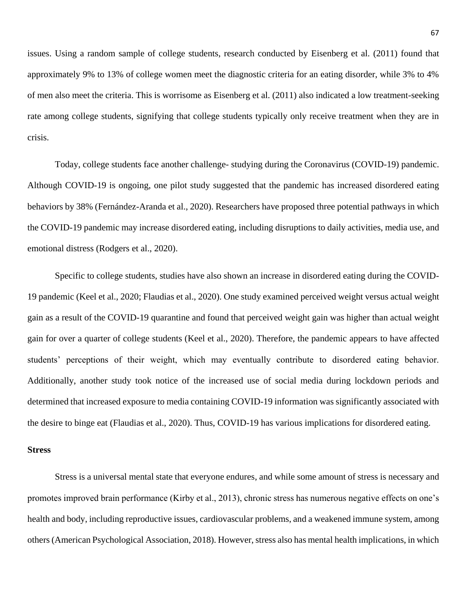issues. Using a random sample of college students, research conducted by Eisenberg et al. (2011) found that approximately 9% to 13% of college women meet the diagnostic criteria for an eating disorder, while 3% to 4% of men also meet the criteria. This is worrisome as Eisenberg et al. (2011) also indicated a low treatment-seeking rate among college students, signifying that college students typically only receive treatment when they are in crisis.

Today, college students face another challenge- studying during the Coronavirus (COVID-19) pandemic. Although COVID-19 is ongoing, one pilot study suggested that the pandemic has increased disordered eating behaviors by 38% (Fernández-Aranda et al., 2020). Researchers have proposed three potential pathways in which the COVID-19 pandemic may increase disordered eating, including disruptions to daily activities, media use, and emotional distress (Rodgers et al., 2020).

Specific to college students, studies have also shown an increase in disordered eating during the COVID-19 pandemic (Keel et al., 2020; Flaudias et al., 2020). One study examined perceived weight versus actual weight gain as a result of the COVID-19 quarantine and found that perceived weight gain was higher than actual weight gain for over a quarter of college students (Keel et al., 2020). Therefore, the pandemic appears to have affected students' perceptions of their weight, which may eventually contribute to disordered eating behavior. Additionally, another study took notice of the increased use of social media during lockdown periods and determined that increased exposure to media containing COVID-19 information was significantly associated with the desire to binge eat (Flaudias et al., 2020). Thus, COVID-19 has various implications for disordered eating.

#### **Stress**

Stress is a universal mental state that everyone endures, and while some amount of stress is necessary and promotes improved brain performance (Kirby et al., 2013), chronic stress has numerous negative effects on one's health and body, including reproductive issues, cardiovascular problems, and a weakened immune system, among others (American Psychological Association, 2018). However, stress also has mental health implications, in which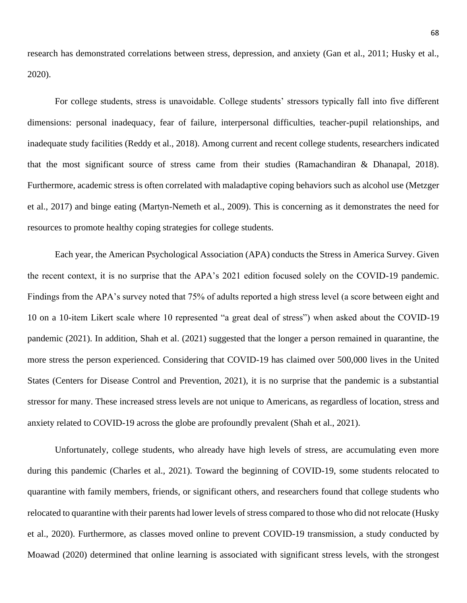research has demonstrated correlations between stress, depression, and anxiety (Gan et al., 2011; Husky et al., 2020).

For college students, stress is unavoidable. College students' stressors typically fall into five different dimensions: personal inadequacy, fear of failure, interpersonal difficulties, teacher-pupil relationships, and inadequate study facilities (Reddy et al., 2018). Among current and recent college students, researchers indicated that the most significant source of stress came from their studies (Ramachandiran & Dhanapal, 2018). Furthermore, academic stress is often correlated with maladaptive coping behaviors such as alcohol use (Metzger et al., 2017) and binge eating (Martyn-Nemeth et al., 2009). This is concerning as it demonstrates the need for resources to promote healthy coping strategies for college students.

Each year, the American Psychological Association (APA) conducts the Stress in America Survey. Given the recent context, it is no surprise that the APA's 2021 edition focused solely on the COVID-19 pandemic. Findings from the APA's survey noted that 75% of adults reported a high stress level (a score between eight and 10 on a 10-item Likert scale where 10 represented "a great deal of stress") when asked about the COVID-19 pandemic (2021). In addition, Shah et al. (2021) suggested that the longer a person remained in quarantine, the more stress the person experienced. Considering that COVID-19 has claimed over 500,000 lives in the United States (Centers for Disease Control and Prevention, 2021), it is no surprise that the pandemic is a substantial stressor for many. These increased stress levels are not unique to Americans, as regardless of location, stress and anxiety related to COVID-19 across the globe are profoundly prevalent (Shah et al., 2021).

Unfortunately, college students, who already have high levels of stress, are accumulating even more during this pandemic (Charles et al., 2021). Toward the beginning of COVID-19, some students relocated to quarantine with family members, friends, or significant others, and researchers found that college students who relocated to quarantine with their parents had lower levels of stress compared to those who did not relocate (Husky et al., 2020). Furthermore, as classes moved online to prevent COVID-19 transmission, a study conducted by Moawad (2020) determined that online learning is associated with significant stress levels, with the strongest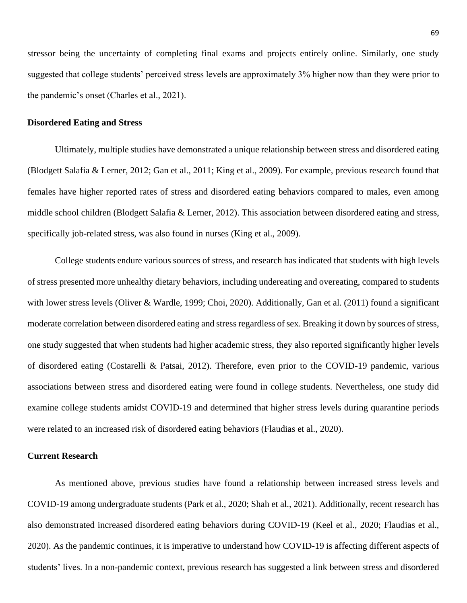stressor being the uncertainty of completing final exams and projects entirely online. Similarly, one study suggested that college students' perceived stress levels are approximately 3% higher now than they were prior to the pandemic's onset (Charles et al., 2021).

#### **Disordered Eating and Stress**

Ultimately, multiple studies have demonstrated a unique relationship between stress and disordered eating (Blodgett Salafia & Lerner, 2012; Gan et al., 2011; King et al., 2009). For example, previous research found that females have higher reported rates of stress and disordered eating behaviors compared to males, even among middle school children (Blodgett Salafia & Lerner, 2012). This association between disordered eating and stress, specifically job-related stress, was also found in nurses (King et al., 2009).

College students endure various sources of stress, and research has indicated that students with high levels of stress presented more unhealthy dietary behaviors, including undereating and overeating, compared to students with lower stress levels (Oliver & Wardle, 1999; Choi, 2020). Additionally, Gan et al. (2011) found a significant moderate correlation between disordered eating and stress regardless of sex. Breaking it down by sources of stress, one study suggested that when students had higher academic stress, they also reported significantly higher levels of disordered eating (Costarelli & Patsai, 2012). Therefore, even prior to the COVID-19 pandemic, various associations between stress and disordered eating were found in college students. Nevertheless, one study did examine college students amidst COVID-19 and determined that higher stress levels during quarantine periods were related to an increased risk of disordered eating behaviors (Flaudias et al., 2020).

#### **Current Research**

As mentioned above, previous studies have found a relationship between increased stress levels and COVID-19 among undergraduate students (Park et al., 2020; Shah et al., 2021). Additionally, recent research has also demonstrated increased disordered eating behaviors during COVID-19 (Keel et al., 2020; Flaudias et al., 2020). As the pandemic continues, it is imperative to understand how COVID-19 is affecting different aspects of students' lives. In a non-pandemic context, previous research has suggested a link between stress and disordered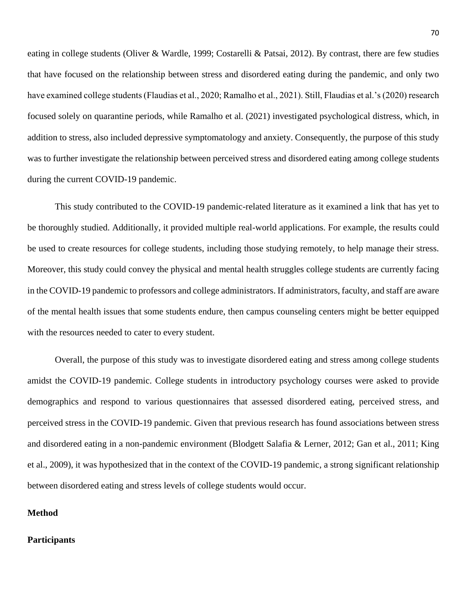eating in college students (Oliver & Wardle, 1999; Costarelli & Patsai, 2012). By contrast, there are few studies that have focused on the relationship between stress and disordered eating during the pandemic, and only two have examined college students (Flaudias et al., 2020; Ramalho et al., 2021). Still, Flaudias et al.'s (2020) research focused solely on quarantine periods, while Ramalho et al. (2021) investigated psychological distress, which, in addition to stress, also included depressive symptomatology and anxiety. Consequently, the purpose of this study was to further investigate the relationship between perceived stress and disordered eating among college students during the current COVID-19 pandemic.

This study contributed to the COVID-19 pandemic-related literature as it examined a link that has yet to be thoroughly studied. Additionally, it provided multiple real-world applications. For example, the results could be used to create resources for college students, including those studying remotely, to help manage their stress. Moreover, this study could convey the physical and mental health struggles college students are currently facing in the COVID-19 pandemic to professors and college administrators. If administrators, faculty, and staff are aware of the mental health issues that some students endure, then campus counseling centers might be better equipped with the resources needed to cater to every student.

Overall, the purpose of this study was to investigate disordered eating and stress among college students amidst the COVID-19 pandemic. College students in introductory psychology courses were asked to provide demographics and respond to various questionnaires that assessed disordered eating, perceived stress, and perceived stress in the COVID-19 pandemic. Given that previous research has found associations between stress and disordered eating in a non-pandemic environment (Blodgett Salafia & Lerner, 2012; Gan et al., 2011; King et al., 2009), it was hypothesized that in the context of the COVID-19 pandemic, a strong significant relationship between disordered eating and stress levels of college students would occur.

#### **Method**

# **Participants**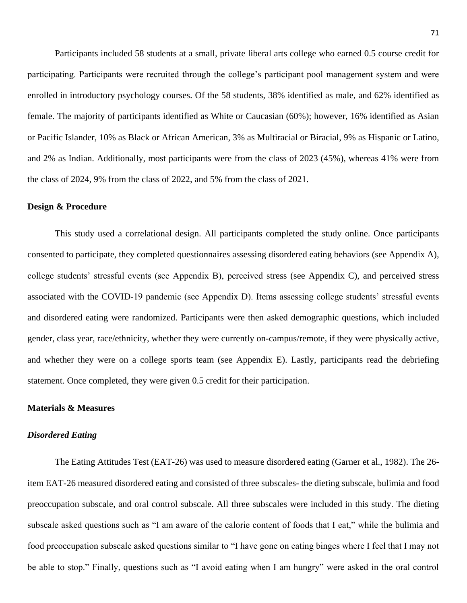Participants included 58 students at a small, private liberal arts college who earned 0.5 course credit for participating. Participants were recruited through the college's participant pool management system and were enrolled in introductory psychology courses. Of the 58 students, 38% identified as male, and 62% identified as female. The majority of participants identified as White or Caucasian (60%); however, 16% identified as Asian or Pacific Islander, 10% as Black or African American, 3% as Multiracial or Biracial, 9% as Hispanic or Latino, and 2% as Indian. Additionally, most participants were from the class of 2023 (45%), whereas 41% were from the class of 2024, 9% from the class of 2022, and 5% from the class of 2021.

#### **Design & Procedure**

This study used a correlational design. All participants completed the study online. Once participants consented to participate, they completed questionnaires assessing disordered eating behaviors (see Appendix A), college students' stressful events (see Appendix B), perceived stress (see Appendix C), and perceived stress associated with the COVID-19 pandemic (see Appendix D). Items assessing college students' stressful events and disordered eating were randomized. Participants were then asked demographic questions, which included gender, class year, race/ethnicity, whether they were currently on-campus/remote, if they were physically active, and whether they were on a college sports team (see Appendix E). Lastly, participants read the debriefing statement. Once completed, they were given 0.5 credit for their participation.

#### **Materials & Measures**

#### *Disordered Eating*

The Eating Attitudes Test (EAT-26) was used to measure disordered eating (Garner et al., 1982). The 26 item EAT-26 measured disordered eating and consisted of three subscales- the dieting subscale, bulimia and food preoccupation subscale, and oral control subscale. All three subscales were included in this study. The dieting subscale asked questions such as "I am aware of the calorie content of foods that I eat," while the bulimia and food preoccupation subscale asked questions similar to "I have gone on eating binges where I feel that I may not be able to stop." Finally, questions such as "I avoid eating when I am hungry" were asked in the oral control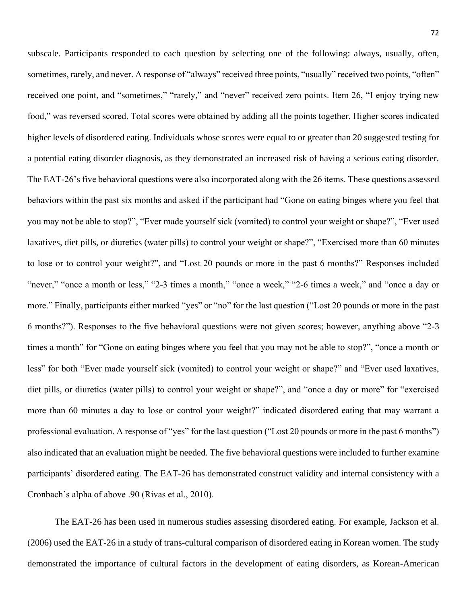subscale. Participants responded to each question by selecting one of the following: always, usually, often, sometimes, rarely, and never. A response of "always" received three points, "usually" received two points, "often" received one point, and "sometimes," "rarely," and "never" received zero points. Item 26, "I enjoy trying new food," was reversed scored. Total scores were obtained by adding all the points together. Higher scores indicated higher levels of disordered eating. Individuals whose scores were equal to or greater than 20 suggested testing for a potential eating disorder diagnosis, as they demonstrated an increased risk of having a serious eating disorder. The EAT-26's five behavioral questions were also incorporated along with the 26 items. These questions assessed behaviors within the past six months and asked if the participant had "Gone on eating binges where you feel that you may not be able to stop?", "Ever made yourself sick (vomited) to control your weight or shape?", "Ever used laxatives, diet pills, or diuretics (water pills) to control your weight or shape?", "Exercised more than 60 minutes to lose or to control your weight?", and "Lost 20 pounds or more in the past 6 months?" Responses included "never," "once a month or less," "2-3 times a month," "once a week," "2-6 times a week," and "once a day or more." Finally, participants either marked "yes" or "no" for the last question ("Lost 20 pounds or more in the past 6 months?"). Responses to the five behavioral questions were not given scores; however, anything above "2-3 times a month" for "Gone on eating binges where you feel that you may not be able to stop?", "once a month or less" for both "Ever made yourself sick (vomited) to control your weight or shape?" and "Ever used laxatives, diet pills, or diuretics (water pills) to control your weight or shape?", and "once a day or more" for "exercised more than 60 minutes a day to lose or control your weight?" indicated disordered eating that may warrant a professional evaluation. A response of "yes" for the last question ("Lost 20 pounds or more in the past 6 months") also indicated that an evaluation might be needed. The five behavioral questions were included to further examine participants' disordered eating. The EAT-26 has demonstrated construct validity and internal consistency with a Cronbach's alpha of above .90 (Rivas et al., 2010).

The EAT-26 has been used in numerous studies assessing disordered eating. For example, Jackson et al. (2006) used the EAT-26 in a study of trans-cultural comparison of disordered eating in Korean women. The study demonstrated the importance of cultural factors in the development of eating disorders, as Korean-American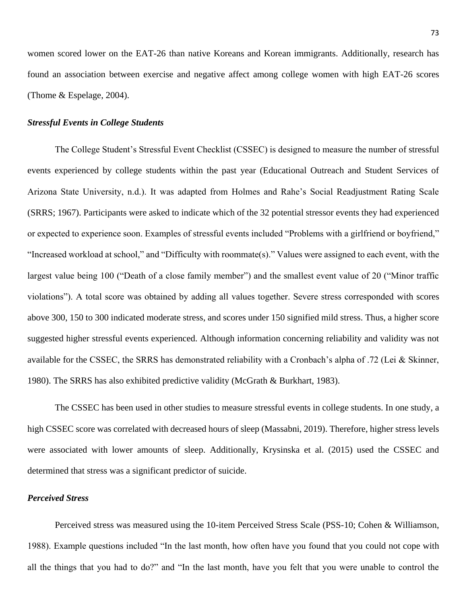women scored lower on the EAT-26 than native Koreans and Korean immigrants. Additionally, research has found an association between exercise and negative affect among college women with high EAT-26 scores (Thome & Espelage, 2004).

### *Stressful Events in College Students*

The College Student's Stressful Event Checklist (CSSEC) is designed to measure the number of stressful events experienced by college students within the past year (Educational Outreach and Student Services of Arizona State University, n.d.). It was adapted from Holmes and Rahe's Social Readjustment Rating Scale (SRRS; 1967). Participants were asked to indicate which of the 32 potential stressor events they had experienced or expected to experience soon. Examples of stressful events included "Problems with a girlfriend or boyfriend," "Increased workload at school," and "Difficulty with roommate(s)." Values were assigned to each event, with the largest value being 100 ("Death of a close family member") and the smallest event value of 20 ("Minor traffic violations"). A total score was obtained by adding all values together. Severe stress corresponded with scores above 300, 150 to 300 indicated moderate stress, and scores under 150 signified mild stress. Thus, a higher score suggested higher stressful events experienced. Although information concerning reliability and validity was not available for the CSSEC, the SRRS has demonstrated reliability with a Cronbach's alpha of .72 (Lei & Skinner, 1980). The SRRS has also exhibited predictive validity (McGrath & Burkhart, 1983).

The CSSEC has been used in other studies to measure stressful events in college students. In one study, a high CSSEC score was correlated with decreased hours of sleep (Massabni, 2019). Therefore, higher stress levels were associated with lower amounts of sleep. Additionally, Krysinska et al. (2015) used the CSSEC and determined that stress was a significant predictor of suicide.

### *Perceived Stress*

Perceived stress was measured using the 10-item Perceived Stress Scale (PSS-10; Cohen & Williamson, 1988). Example questions included "In the last month, how often have you found that you could not cope with all the things that you had to do?" and "In the last month, have you felt that you were unable to control the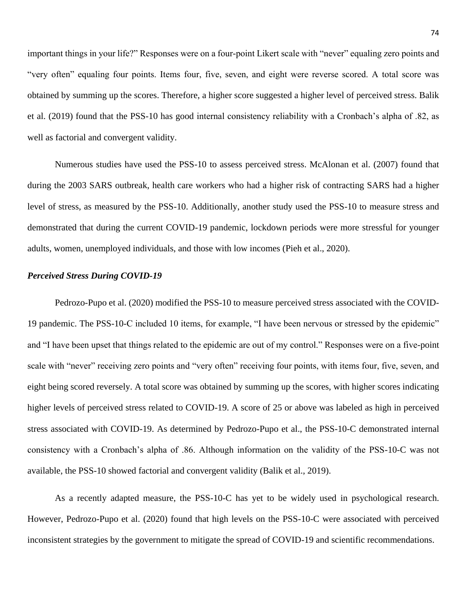important things in your life?" Responses were on a four-point Likert scale with "never" equaling zero points and "very often" equaling four points. Items four, five, seven, and eight were reverse scored. A total score was obtained by summing up the scores. Therefore, a higher score suggested a higher level of perceived stress. Balik et al. (2019) found that the PSS-10 has good internal consistency reliability with a Cronbach's alpha of .82, as well as factorial and convergent validity.

Numerous studies have used the PSS-10 to assess perceived stress. McAlonan et al. (2007) found that during the 2003 SARS outbreak, health care workers who had a higher risk of contracting SARS had a higher level of stress, as measured by the PSS-10. Additionally, another study used the PSS-10 to measure stress and demonstrated that during the current COVID-19 pandemic, lockdown periods were more stressful for younger adults, women, unemployed individuals, and those with low incomes (Pieh et al., 2020).

#### *Perceived Stress During COVID-19*

Pedrozo-Pupo et al. (2020) modified the PSS-10 to measure perceived stress associated with the COVID-19 pandemic. The PSS-10-C included 10 items, for example, "I have been nervous or stressed by the epidemic" and "I have been upset that things related to the epidemic are out of my control." Responses were on a five-point scale with "never" receiving zero points and "very often" receiving four points, with items four, five, seven, and eight being scored reversely. A total score was obtained by summing up the scores, with higher scores indicating higher levels of perceived stress related to COVID-19. A score of 25 or above was labeled as high in perceived stress associated with COVID-19. As determined by Pedrozo-Pupo et al., the PSS-10-C demonstrated internal consistency with a Cronbach's alpha of .86. Although information on the validity of the PSS-10-C was not available, the PSS-10 showed factorial and convergent validity (Balik et al., 2019).

As a recently adapted measure, the PSS-10-C has yet to be widely used in psychological research. However, Pedrozo-Pupo et al. (2020) found that high levels on the PSS-10-C were associated with perceived inconsistent strategies by the government to mitigate the spread of COVID-19 and scientific recommendations.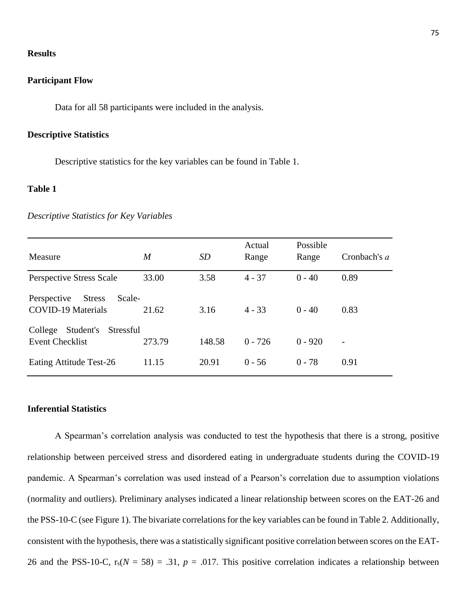#### **Results**

# **Participant Flow**

Data for all 58 participants were included in the analysis.

# **Descriptive Statistics**

Descriptive statistics for the key variables can be found in Table 1.

# **Table 1**

#### *Descriptive Statistics for Key Variables*

| Measure                                                             | $\boldsymbol{M}$ | <i>SD</i> | Actual<br>Range | Possible<br>Range | Cronbach's a   |
|---------------------------------------------------------------------|------------------|-----------|-----------------|-------------------|----------------|
| <b>Perspective Stress Scale</b>                                     | 33.00            | 3.58      | $4 - 37$        | $0 - 40$          | 0.89           |
| Scale-<br><b>Stress</b><br>Perspective<br><b>COVID-19 Materials</b> | 21.62            | 3.16      | $4 - 33$        | $0 - 40$          | 0.83           |
| Student's<br>Stressful<br>College<br><b>Event Checklist</b>         | 273.79           | 148.58    | $0 - 726$       | $0 - 920$         | $\overline{a}$ |
| Eating Attitude Test-26                                             | 11.15            | 20.91     | $0 - 56$        | $0 - 78$          | 0.91           |

# **Inferential Statistics**

A Spearman's correlation analysis was conducted to test the hypothesis that there is a strong, positive relationship between perceived stress and disordered eating in undergraduate students during the COVID-19 pandemic. A Spearman's correlation was used instead of a Pearson's correlation due to assumption violations (normality and outliers). Preliminary analyses indicated a linear relationship between scores on the EAT-26 and the PSS-10-C (see Figure 1). The bivariate correlations for the key variables can be found in Table 2. Additionally, consistent with the hypothesis, there was a statistically significant positive correlation between scores on the EAT-26 and the PSS-10-C,  $r_s(N = 58) = .31$ ,  $p = .017$ . This positive correlation indicates a relationship between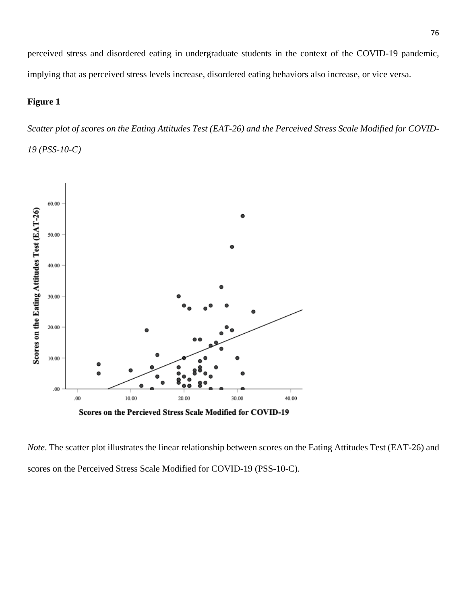perceived stress and disordered eating in undergraduate students in the context of the COVID-19 pandemic, implying that as perceived stress levels increase, disordered eating behaviors also increase, or vice versa.

# **Figure 1**

*Scatter plot of scores on the Eating Attitudes Test (EAT-26) and the Perceived Stress Scale Modified for COVID-19 (PSS-10-C)*



Scores on the Percieved Stress Scale Modified for COVID-19

*Note*. The scatter plot illustrates the linear relationship between scores on the Eating Attitudes Test (EAT-26) and scores on the Perceived Stress Scale Modified for COVID-19 (PSS-10-C).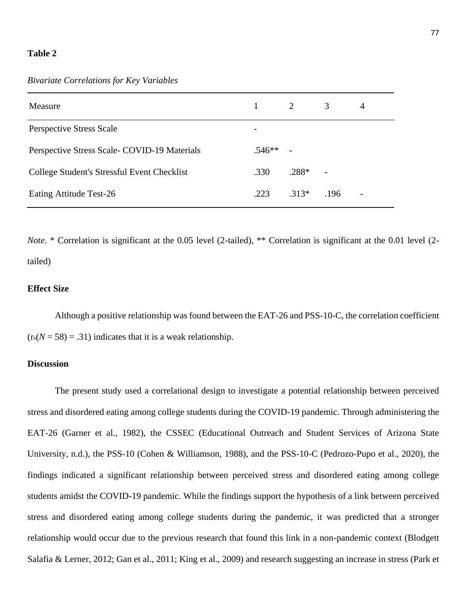#### **Table 2**

*Bivariate Correlations for Key Variables*

| Measure                                      |                          | 2       | 3    | 4                        |
|----------------------------------------------|--------------------------|---------|------|--------------------------|
| <b>Perspective Stress Scale</b>              | $\overline{\phantom{a}}$ |         |      |                          |
| Perspective Stress Scale- COVID-19 Materials | $.546**$                 |         |      |                          |
| College Student's Stressful Event Checklist  | .330                     | $.288*$ |      |                          |
| Eating Attitude Test-26                      | .223                     | $.313*$ | .196 | $\overline{\phantom{a}}$ |

*Note.* \* Correlation is significant at the 0.05 level (2-tailed), \*\* Correlation is significant at the 0.01 level (2tailed)

# **Effect Size**

Although a positive relationship was found between the EAT-26 and PSS-10-C, the correlation coefficient  $(r_s(N = 58) = .31)$  indicates that it is a weak relationship.

# **Discussion**

The present study used a correlational design to investigate a potential relationship between perceived stress and disordered eating among college students during the COVID-19 pandemic. Through administering the EAT-26 (Garner et al., 1982), the CSSEC (Educational Outreach and Student Services of Arizona State University, n.d.), the PSS-10 (Cohen & Williamson, 1988), and the PSS-10-C (Pedrozo-Pupo et al., 2020), the findings indicated a significant relationship between perceived stress and disordered eating among college students amidst the COVID-19 pandemic. While the findings support the hypothesis of a link between perceived stress and disordered eating among college students during the pandemic, it was predicted that a stronger relationship would occur due to the previous research that found this link in a non-pandemic context (Blodgett Salafia & Lerner, 2012; Gan et al., 2011; King et al., 2009) and research suggesting an increase in stress (Park et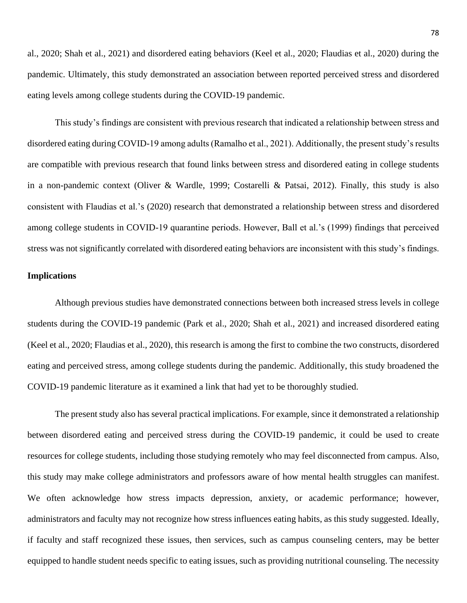al., 2020; Shah et al., 2021) and disordered eating behaviors (Keel et al., 2020; Flaudias et al., 2020) during the pandemic. Ultimately, this study demonstrated an association between reported perceived stress and disordered eating levels among college students during the COVID-19 pandemic.

This study's findings are consistent with previous research that indicated a relationship between stress and disordered eating during COVID-19 among adults (Ramalho et al., 2021). Additionally, the present study's results are compatible with previous research that found links between stress and disordered eating in college students in a non-pandemic context (Oliver & Wardle, 1999; Costarelli & Patsai, 2012). Finally, this study is also consistent with Flaudias et al.'s (2020) research that demonstrated a relationship between stress and disordered among college students in COVID-19 quarantine periods. However, Ball et al.'s (1999) findings that perceived stress was not significantly correlated with disordered eating behaviors are inconsistent with this study's findings.

### **Implications**

Although previous studies have demonstrated connections between both increased stress levels in college students during the COVID-19 pandemic (Park et al., 2020; Shah et al., 2021) and increased disordered eating (Keel et al., 2020; Flaudias et al., 2020), this research is among the first to combine the two constructs, disordered eating and perceived stress, among college students during the pandemic. Additionally, this study broadened the COVID-19 pandemic literature as it examined a link that had yet to be thoroughly studied.

The present study also has several practical implications. For example, since it demonstrated a relationship between disordered eating and perceived stress during the COVID-19 pandemic, it could be used to create resources for college students, including those studying remotely who may feel disconnected from campus. Also, this study may make college administrators and professors aware of how mental health struggles can manifest. We often acknowledge how stress impacts depression, anxiety, or academic performance; however, administrators and faculty may not recognize how stress influences eating habits, as this study suggested. Ideally, if faculty and staff recognized these issues, then services, such as campus counseling centers, may be better equipped to handle student needs specific to eating issues, such as providing nutritional counseling. The necessity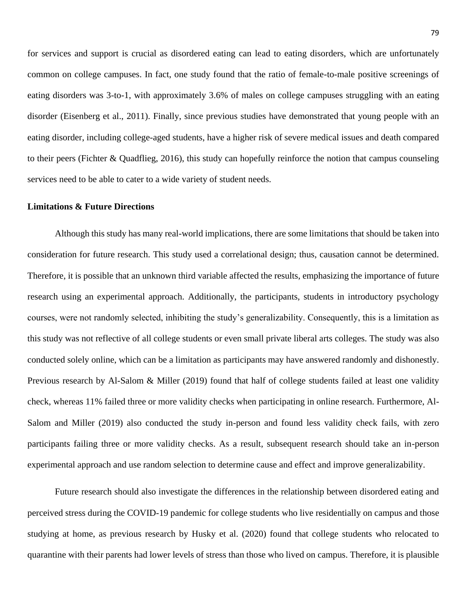for services and support is crucial as disordered eating can lead to eating disorders, which are unfortunately common on college campuses. In fact, one study found that the ratio of female-to-male positive screenings of eating disorders was 3-to-1, with approximately 3.6% of males on college campuses struggling with an eating disorder (Eisenberg et al., 2011). Finally, since previous studies have demonstrated that young people with an eating disorder, including college-aged students, have a higher risk of severe medical issues and death compared to their peers (Fichter & Quadflieg, 2016), this study can hopefully reinforce the notion that campus counseling services need to be able to cater to a wide variety of student needs.

#### **Limitations & Future Directions**

Although this study has many real-world implications, there are some limitations that should be taken into consideration for future research. This study used a correlational design; thus, causation cannot be determined. Therefore, it is possible that an unknown third variable affected the results, emphasizing the importance of future research using an experimental approach. Additionally, the participants, students in introductory psychology courses, were not randomly selected, inhibiting the study's generalizability. Consequently, this is a limitation as this study was not reflective of all college students or even small private liberal arts colleges. The study was also conducted solely online, which can be a limitation as participants may have answered randomly and dishonestly. Previous research by Al-Salom & Miller (2019) found that half of college students failed at least one validity check, whereas 11% failed three or more validity checks when participating in online research. Furthermore, Al-Salom and Miller (2019) also conducted the study in-person and found less validity check fails, with zero participants failing three or more validity checks. As a result, subsequent research should take an in-person experimental approach and use random selection to determine cause and effect and improve generalizability.

Future research should also investigate the differences in the relationship between disordered eating and perceived stress during the COVID-19 pandemic for college students who live residentially on campus and those studying at home, as previous research by Husky et al. (2020) found that college students who relocated to quarantine with their parents had lower levels of stress than those who lived on campus. Therefore, it is plausible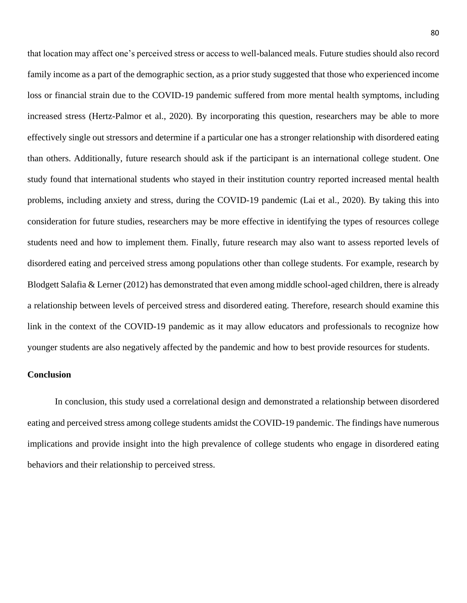that location may affect one's perceived stress or access to well-balanced meals. Future studies should also record family income as a part of the demographic section, as a prior study suggested that those who experienced income loss or financial strain due to the COVID-19 pandemic suffered from more mental health symptoms, including increased stress (Hertz-Palmor et al., 2020). By incorporating this question, researchers may be able to more effectively single out stressors and determine if a particular one has a stronger relationship with disordered eating than others. Additionally, future research should ask if the participant is an international college student. One study found that international students who stayed in their institution country reported increased mental health problems, including anxiety and stress, during the COVID-19 pandemic (Lai et al., 2020). By taking this into consideration for future studies, researchers may be more effective in identifying the types of resources college students need and how to implement them. Finally, future research may also want to assess reported levels of disordered eating and perceived stress among populations other than college students. For example, research by Blodgett Salafia & Lerner (2012) has demonstrated that even among middle school-aged children, there is already a relationship between levels of perceived stress and disordered eating. Therefore, research should examine this link in the context of the COVID-19 pandemic as it may allow educators and professionals to recognize how younger students are also negatively affected by the pandemic and how to best provide resources for students.

#### **Conclusion**

In conclusion, this study used a correlational design and demonstrated a relationship between disordered eating and perceived stress among college students amidst the COVID-19 pandemic. The findings have numerous implications and provide insight into the high prevalence of college students who engage in disordered eating behaviors and their relationship to perceived stress.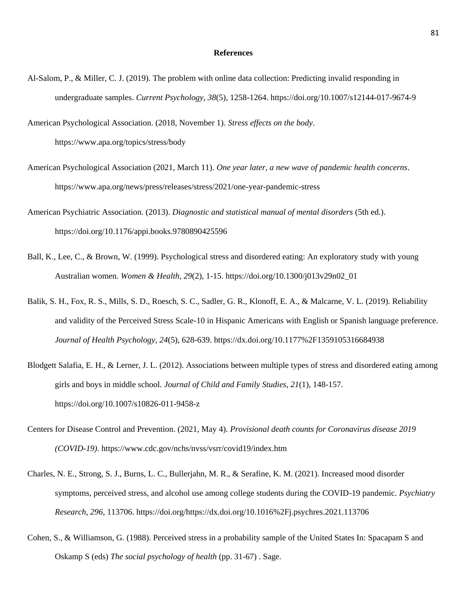#### **References**

Al-Salom, P., & Miller, C. J. (2019). The problem with online data collection: Predicting invalid responding in undergraduate samples. *Current Psychology*, *38*(5), 1258-1264. https://doi.org/10.1007/s12144-017-9674-9

American Psychological Association. (2018, November 1). *Stress effects on the body*. https://www.apa.org/topics/stress/body

- American Psychological Association (2021, March 11). *One year later, a new wave of pandemic health concerns*. https://www.apa.org/news/press/releases/stress/2021/one-year-pandemic-stress
- American Psychiatric Association. (2013). *Diagnostic and statistical manual of mental disorders* (5th ed.). https://doi.org/10.1176/appi.books.9780890425596
- Ball, K., Lee, C., & Brown, W. (1999). Psychological stress and disordered eating: An exploratory study with young Australian women. *Women & Health*, *29*(2), 1-15. https://doi.org/10.1300/j013v29n02\_01
- Balik, S. H., Fox, R. S., Mills, S. D., Roesch, S. C., Sadler, G. R., Klonoff, E. A., & Malcarne, V. L. (2019). Reliability and validity of the Perceived Stress Scale-10 in Hispanic Americans with English or Spanish language preference. *Journal of Health Psychology*, *24*(5), 628-639. https://dx.doi.org/10.1177%2F1359105316684938
- Blodgett Salafia, E. H., & Lerner, J. L. (2012). Associations between multiple types of stress and disordered eating among girls and boys in middle school. *Journal of Child and Family Studies*, *21*(1), 148-157. https://doi.org/10.1007/s10826-011-9458-z
- Centers for Disease Control and Prevention. (2021, May 4). *Provisional death counts for Coronavirus disease 2019 (COVID-19)*. https://www.cdc.gov/nchs/nvss/vsrr/covid19/index.htm
- Charles, N. E., Strong, S. J., Burns, L. C., Bullerjahn, M. R., & Serafine, K. M. (2021). Increased mood disorder symptoms, perceived stress, and alcohol use among college students during the COVID-19 pandemic. *Psychiatry Research*, *296*, 113706. https://doi.org/https://dx.doi.org/10.1016%2Fj.psychres.2021.113706
- Cohen, S., & Williamson, G. (1988). Perceived stress in a probability sample of the United States In: Spacapam S and Oskamp S (eds) *The social psychology of health* (pp. 31-67) . Sage.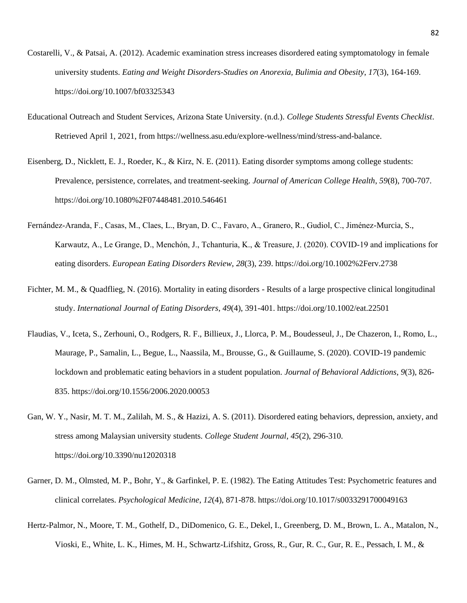- Costarelli, V., & Patsai, A. (2012). Academic examination stress increases disordered eating symptomatology in female university students. *Eating and Weight Disorders-Studies on Anorexia, Bulimia and Obesity*, *17*(3), 164-169. https://doi.org/10.1007/bf03325343
- Educational Outreach and Student Services, Arizona State University. (n.d.). *College Students Stressful Events Checklist*. Retrieved April 1, 2021, from https://wellness.asu.edu/explore-wellness/mind/stress-and-balance.
- Eisenberg, D., Nicklett, E. J., Roeder, K., & Kirz, N. E. (2011). Eating disorder symptoms among college students: Prevalence, persistence, correlates, and treatment-seeking. *Journal of American College Health*, *59*(8), 700-707. https://doi.org/10.1080%2F07448481.2010.546461
- Fernández‐Aranda, F., Casas, M., Claes, L., Bryan, D. C., Favaro, A., Granero, R., Gudiol, C., Jiménez-Murcia, S., Karwautz, A., Le Grange, D., Menchón, J., Tchanturia, K., & Treasure, J. (2020). COVID‐19 and implications for eating disorders. *European Eating Disorders Review*, *28*(3), 239. https://doi.org/10.1002%2Ferv.2738
- Fichter, M. M., & Quadflieg, N. (2016). Mortality in eating disorders Results of a large prospective clinical longitudinal study. *International Journal of Eating Disorders*, *49*(4), 391-401. https://doi.org/10.1002/eat.22501
- Flaudias, V., Iceta, S., Zerhouni, O., Rodgers, R. F., Billieux, J., Llorca, P. M., Boudesseul, J., De Chazeron, I., Romo, L., Maurage, P., Samalin, L., Begue, L., Naassila, M., Brousse, G., & Guillaume, S. (2020). COVID-19 pandemic lockdown and problematic eating behaviors in a student population. *Journal of Behavioral Addictions*, *9*(3), 826- 835. https://doi.org/10.1556/2006.2020.00053
- Gan, W. Y., Nasir, M. T. M., Zalilah, M. S., & Hazizi, A. S. (2011). Disordered eating behaviors, depression, anxiety, and stress among Malaysian university students. *College Student Journal*, *45*(2), 296-310. https://doi.org/10.3390/nu12020318
- Garner, D. M., Olmsted, M. P., Bohr, Y., & Garfinkel, P. E. (1982). The Eating Attitudes Test: Psychometric features and clinical correlates. *Psychological Medicine*, *12*(4), 871-878. https://doi.org/10.1017/s0033291700049163
- Hertz-Palmor, N., Moore, T. M., Gothelf, D., DiDomenico, G. E., Dekel, I., Greenberg, D. M., Brown, L. A., Matalon, N., Vioski, E., White, L. K., Himes, M. H., Schwartz-Lifshitz, Gross, R., Gur, R. C., Gur, R. E., Pessach, I. M., &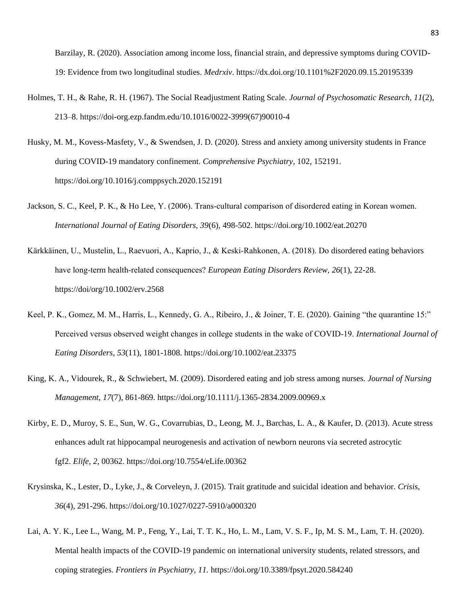Barzilay, R. (2020). Association among income loss, financial strain, and depressive symptoms during COVID-19: Evidence from two longitudinal studies. *Medrxiv*. https://dx.doi.org/10.1101%2F2020.09.15.20195339

- Holmes, T. H., & Rahe, R. H. (1967). The Social Readjustment Rating Scale. *Journal of Psychosomatic Research*, *11*(2), 213–8. https://doi-org.ezp.fandm.edu/10.1016/0022-3999(67)90010-4
- Husky, M. M., Kovess-Masfety, V., & Swendsen, J. D. (2020). Stress and anxiety among university students in France during COVID-19 mandatory confinement. *Comprehensive Psychiatry*, 102, 152191. https://doi.org/10.1016/j.comppsych.2020.152191
- Jackson, S. C., Keel, P. K., & Ho Lee, Y. (2006). Trans‐cultural comparison of disordered eating in Korean women. *International Journal of Eating Disorders, 39*(6), 498-502. https://doi.org/10.1002/eat.20270
- Kärkkäinen, U., Mustelin, L., Raevuori, A., Kaprio, J., & Keski‐Rahkonen, A. (2018). Do disordered eating behaviors have long‐term health‐related consequences? *European Eating Disorders Review*, *26*(1), 22-28. https://doi/org/10.1002/erv.2568
- Keel, P. K., Gomez, M. M., Harris, L., Kennedy, G. A., Ribeiro, J., & Joiner, T. E. (2020). Gaining "the quarantine 15:" Perceived versus observed weight changes in college students in the wake of COVID‐19. *International Journal of Eating Disorders*, *53*(11), 1801-1808. https://doi.org/10.1002/eat.23375
- King, K. A., Vidourek, R., & Schwiebert, M. (2009). Disordered eating and job stress among nurses. *Journal of Nursing Management*, *17*(7), 861-869. https://doi.org/10.1111/j.1365-2834.2009.00969.x
- Kirby, E. D., Muroy, S. E., Sun, W. G., Covarrubias, D., Leong, M. J., Barchas, L. A., & Kaufer, D. (2013). Acute stress enhances adult rat hippocampal neurogenesis and activation of newborn neurons via secreted astrocytic fgf2. *Elife*, *2*, 00362. https://doi.org/10.7554/eLife.00362
- Krysinska, K., Lester, D., Lyke, J., & Corveleyn, J. (2015). Trait gratitude and suicidal ideation and behavior. *Crisis*, *36*(4), 291-296. https://doi.org/10.1027/0227-5910/a000320
- Lai, A. Y. K., Lee L., Wang, M. P., Feng, Y., Lai, T. T. K., Ho, L. M., Lam, V. S. F., Ip, M. S. M., Lam, T. H. (2020). Mental health impacts of the COVID-19 pandemic on international university students, related stressors, and coping strategies. *Frontiers in Psychiatry, 11.* https://doi.org/10.3389/fpsyt.2020.584240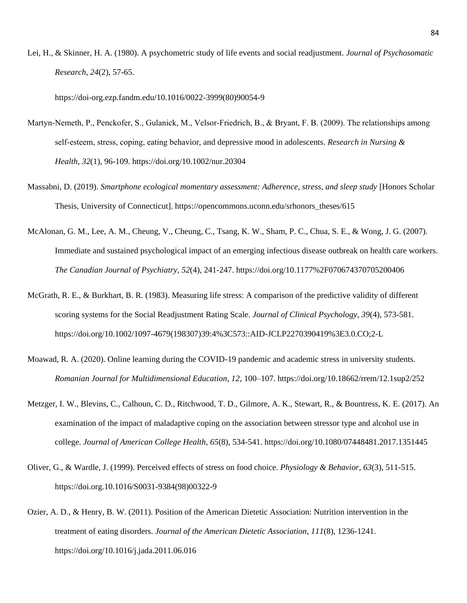Lei, H., & Skinner, H. A. (1980). A psychometric study of life events and social readjustment. *Journal of Psychosomatic Research*, *24*(2), 57-65.

https://doi-org.ezp.fandm.edu/10.1016/0022-3999(80)90054-9

- Martyn-Nemeth, P., Penckofer, S., Gulanick, M., Velsor-Friedrich, B., & Bryant, F. B. (2009). The relationships among self‐esteem, stress, coping, eating behavior, and depressive mood in adolescents. *Research in Nursing & Health*, *32*(1), 96-109. https://doi.org/10.1002/nur.20304
- Massabni, D. (2019). *Smartphone ecological momentary assessment: Adherence, stress, and sleep study* [Honors Scholar Thesis, University of Connecticut]. https://opencommons.uconn.edu/srhonors\_theses/615
- McAlonan, G. M., Lee, A. M., Cheung, V., Cheung, C., Tsang, K. W., Sham, P. C., Chua, S. E., & Wong, J. G. (2007). Immediate and sustained psychological impact of an emerging infectious disease outbreak on health care workers. *The Canadian Journal of Psychiatry*, *52*(4), 241-247. https://doi.org/10.1177%2F070674370705200406
- McGrath, R. E., & Burkhart, B. R. (1983). Measuring life stress: A comparison of the predictive validity of different scoring systems for the Social Readjustment Rating Scale. *Journal of Clinical Psychology*, *39*(4), 573-581. https://doi.org/10.1002/1097-4679(198307)39:4%3C573::AID-JCLP2270390419%3E3.0.CO;2-L
- Moawad, R. A. (2020). Online learning during the COVID-19 pandemic and academic stress in university students. *Romanian Journal for Multidimensional Education, 12*, 100–107. https://doi.org/10.18662/rrem/12.1sup2/252
- Metzger, I. W., Blevins, C., Calhoun, C. D., Ritchwood, T. D., Gilmore, A. K., Stewart, R., & Bountress, K. E. (2017). An examination of the impact of maladaptive coping on the association between stressor type and alcohol use in college. *Journal of American College Health*, *65*(8), 534-541. https://doi.org/10.1080/07448481.2017.1351445
- Oliver, G., & Wardle, J. (1999). Perceived effects of stress on food choice. *Physiology & Behavior*, *63*(3), 511-515. https://doi.org.10.1016/S0031-9384(98)00322-9
- Ozier, A. D., & Henry, B. W. (2011). Position of the American Dietetic Association: Nutrition intervention in the treatment of eating disorders. *Journal of the American Dietetic Association*, *111*(8), 1236-1241. https://doi.org/10.1016/j.jada.2011.06.016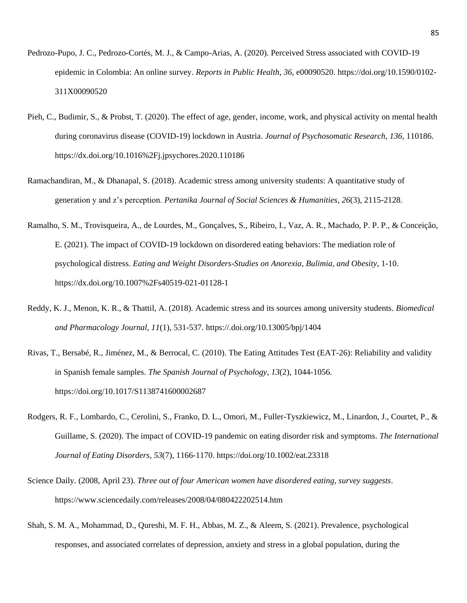- Pedrozo-Pupo, J. C., Pedrozo-Cortés, M. J., & Campo-Arias, A. (2020). Perceived Stress associated with COVID-19 epidemic in Colombia: An online survey. *Reports in Public Health*, *36*, e00090520. https://doi.org/10.1590/0102- 311X00090520
- Pieh, C., Budimir, S., & Probst, T. (2020). The effect of age, gender, income, work, and physical activity on mental health during coronavirus disease (COVID-19) lockdown in Austria. *Journal of Psychosomatic Research*, *136*, 110186. https://dx.doi.org/10.1016%2Fj.jpsychores.2020.110186
- Ramachandiran, M., & Dhanapal, S. (2018). Academic stress among university students: A quantitative study of generation y and z's perception. *Pertanika Journal of Social Sciences & Humanities*, *26*(3), 2115-2128.
- Ramalho, S. M., Trovisqueira, A., de Lourdes, M., Gonçalves, S., Ribeiro, I., Vaz, A. R., Machado, P. P. P., & Conceição, E. (2021). The impact of COVID-19 lockdown on disordered eating behaviors: The mediation role of psychological distress. *Eating and Weight Disorders-Studies on Anorexia, Bulimia, and Obesity*, 1-10. https://dx.doi.org/10.1007%2Fs40519-021-01128-1
- Reddy, K. J., Menon, K. R., & Thattil, A. (2018). Academic stress and its sources among university students. *Biomedical and Pharmacology Journal*, *11*(1), 531-537. [https://.doi.org/10.13005/bpj/1404](https://dx.doi.org/10.13005/bpj/1404)
- Rivas, T., Bersabé, R., Jiménez, M., & Berrocal, C. (2010). The Eating Attitudes Test (EAT-26): Reliability and validity in Spanish female samples. *The Spanish Journal of Psychology*, *13*(2), 1044-1056. https://doi.org/10.1017/S1138741600002687
- Rodgers, R. F., Lombardo, C., Cerolini, S., Franko, D. L., Omori, M., Fuller-Tyszkiewicz, M., Linardon, J., Courtet, P., & Guillame, S. (2020). The impact of COVID-19 pandemic on eating disorder risk and symptoms. *The International Journal of Eating Disorders*, *53*(7), 1166-1170. https://doi.org/10.1002/eat.23318
- Science Daily. (2008, April 23). *Three out of four American women have disordered eating, survey suggests*. https://www.sciencedaily.com/releases/2008/04/080422202514.htm
- Shah, S. M. A., Mohammad, D., Qureshi, M. F. H., Abbas, M. Z., & Aleem, S. (2021). Prevalence, psychological responses, and associated correlates of depression, anxiety and stress in a global population, during the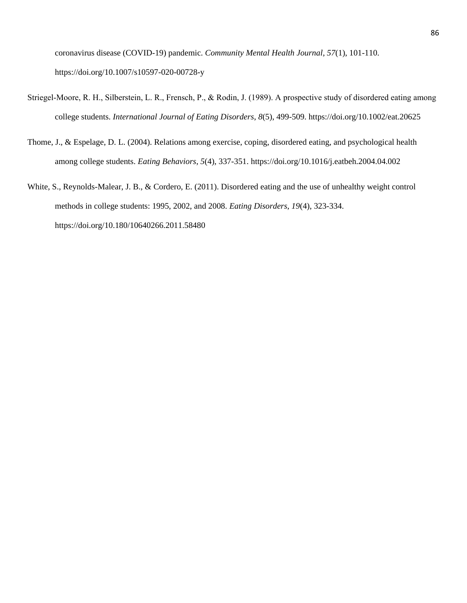coronavirus disease (COVID-19) pandemic. *Community Mental Health Journal*, *57*(1), 101-110. https://doi.org/10.1007/s10597-020-00728-y

- Striegel‐Moore, R. H., Silberstein, L. R., Frensch, P., & Rodin, J. (1989). A prospective study of disordered eating among college students. *International Journal of Eating Disorders*, *8*(5), 499-509. https://doi.org/10.1002/eat.20625
- Thome, J., & Espelage, D. L. (2004). Relations among exercise, coping, disordered eating, and psychological health among college students. *Eating Behaviors*, *5*(4), 337-351. https://doi.org/10.1016/j.eatbeh.2004.04.002
- White, S., Reynolds-Malear, J. B., & Cordero, E. (2011). Disordered eating and the use of unhealthy weight control methods in college students: 1995, 2002, and 2008. *Eating Disorders*, *19*(4), 323-334. https://doi.org/10.180/10640266.2011.58480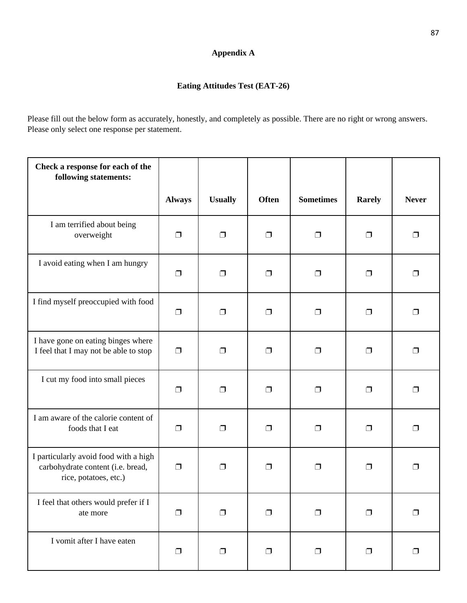# **Appendix A**

# **Eating Attitudes Test (EAT-26)**

Please fill out the below form as accurately, honestly, and completely as possible. There are no right or wrong answers. Please only select one response per statement.

| Check a response for each of the<br>following statements:                                           |               |                |              |                  |               |              |
|-----------------------------------------------------------------------------------------------------|---------------|----------------|--------------|------------------|---------------|--------------|
|                                                                                                     | <b>Always</b> | <b>Usually</b> | <b>Often</b> | <b>Sometimes</b> | <b>Rarely</b> | <b>Never</b> |
| I am terrified about being<br>overweight                                                            | $\Box$        | $\Box$         | $\Box$       | $\Box$           | $\Box$        | $\Box$       |
| I avoid eating when I am hungry                                                                     | $\Box$        | $\Box$         | $\Box$       | $\Box$           | $\Box$        | $\Box$       |
| I find myself preoccupied with food                                                                 | $\Box$        | $\Box$         | $\Box$       | $\Box$           | $\Box$        | $\Box$       |
| I have gone on eating binges where<br>I feel that I may not be able to stop                         | $\Box$        | $\Box$         | $\Box$       | $\Box$           | $\Box$        | ⊓            |
| I cut my food into small pieces                                                                     | $\Box$        | $\Box$         | $\Box$       | $\Box$           | $\Box$        | □            |
| I am aware of the calorie content of<br>foods that I eat                                            | $\Box$        | $\Box$         | $\Box$       | $\Box$           | □             | ⊓            |
| I particularly avoid food with a high<br>carbohydrate content (i.e. bread,<br>rice, potatoes, etc.) | $\Box$        | $\Box$         | $\Box$       | $\Box$           | ⊓             | □            |
| I feel that others would prefer if I<br>ate more                                                    | $\Box$        | $\Box$         | $\Box$       | $\Box$           | $\Box$        | □            |
| I vomit after I have eaten                                                                          | $\Box$        | $\Box$         | $\Box$       | $\Box$           | $\Box$        | $\Box$       |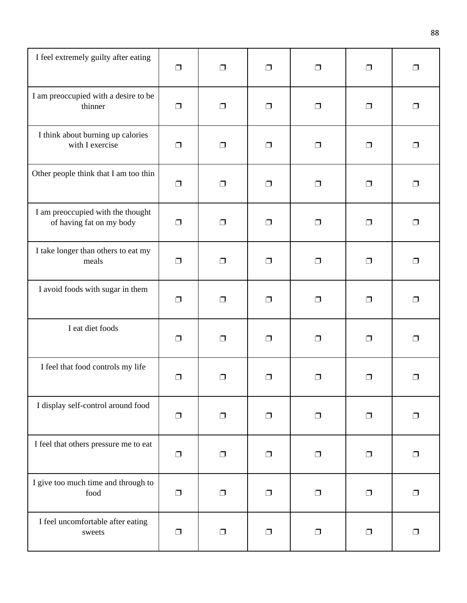| I feel extremely guilty after eating                          | $\Box$ | $\Box$ | $\Box$ | $\Box$ | $\Box$ | $\Box$ |
|---------------------------------------------------------------|--------|--------|--------|--------|--------|--------|
| I am preoccupied with a desire to be<br>thinner               | $\Box$ | $\Box$ | $\Box$ | $\Box$ | $\Box$ | $\Box$ |
| I think about burning up calories<br>with I exercise          | $\Box$ | $\Box$ | $\Box$ | $\Box$ | $\Box$ | $\Box$ |
| Other people think that I am too thin                         | $\Box$ | $\Box$ | $\Box$ | $\Box$ | $\Box$ | Π      |
| I am preoccupied with the thought<br>of having fat on my body | $\Box$ | $\Box$ | $\Box$ | $\Box$ | $\Box$ | $\Box$ |
| I take longer than others to eat my<br>meals                  | $\Box$ | $\Box$ | $\Box$ | $\Box$ | $\Box$ | $\Box$ |
| I avoid foods with sugar in them                              | $\Box$ | $\Box$ | $\Box$ | $\Box$ | $\Box$ | $\Box$ |
| I eat diet foods                                              | $\Box$ | $\Box$ | $\Box$ | $\Box$ | $\Box$ | $\Box$ |
| I feel that food controls my life                             | ⊓      | ⊓      | $\Box$ | $\Box$ | ⊓      | ⊓      |
| I display self-control around food                            | $\Box$ | $\Box$ | $\Box$ | $\Box$ | $\Box$ | $\Box$ |
| I feel that others pressure me to eat                         | $\Box$ | $\Box$ | $\Box$ | $\Box$ | $\Box$ | $\Box$ |
| I give too much time and through to<br>food                   | $\Box$ | $\Box$ | $\Box$ | $\Box$ | $\Box$ | $\Box$ |
| I feel uncomfortable after eating<br>sweets                   | $\Box$ | $\Box$ | $\Box$ | $\Box$ | $\Box$ | $\Box$ |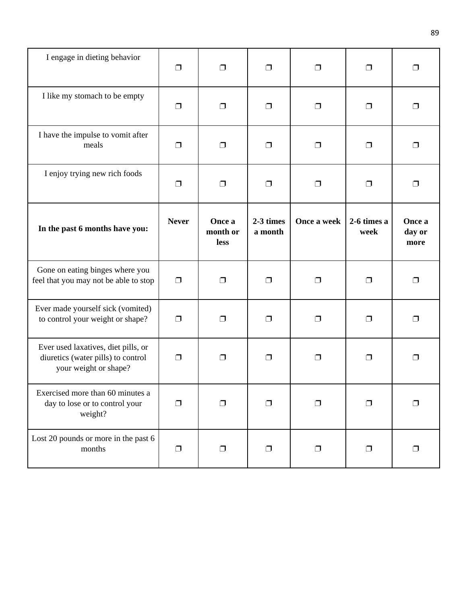| I engage in dieting behavior                                                                       | ⊓            | ⊓                          | $\Box$               | $\Box$      | $\Box$              | $\Box$                   |
|----------------------------------------------------------------------------------------------------|--------------|----------------------------|----------------------|-------------|---------------------|--------------------------|
| I like my stomach to be empty                                                                      | □            | $\Box$                     | $\Box$               | $\Box$      | $\Box$              | $\Box$                   |
| I have the impulse to vomit after<br>meals                                                         | $\Box$       | $\Box$                     | $\Box$               | $\Box$      | $\Box$              | $\Box$                   |
| I enjoy trying new rich foods                                                                      | $\Box$       | $\Box$                     | $\Box$               | $\Box$      | $\Box$              | $\Box$                   |
| In the past 6 months have you:                                                                     | <b>Never</b> | Once a<br>month or<br>less | 2-3 times<br>a month | Once a week | 2-6 times a<br>week | Once a<br>day or<br>more |
| Gone on eating binges where you<br>feel that you may not be able to stop                           | $\Box$       | $\Box$                     | $\Box$               | $\Box$      | $\Box$              | $\Box$                   |
| Ever made yourself sick (vomited)<br>to control your weight or shape?                              | □            | $\Box$                     | $\Box$               | $\Box$      | $\Box$              | $\Box$                   |
| Ever used laxatives, diet pills, or<br>diuretics (water pills) to control<br>your weight or shape? | $\Box$       | ⊓                          | $\Box$               | $\Box$      | $\Box$              | $\Box$                   |
| Exercised more than 60 minutes a<br>day to lose or to control your<br>weight?                      | ⊓            | ⊓                          | $\Box$               | ⊓           | $\Box$              | $\Box$                   |
| Lost 20 pounds or more in the past 6<br>months                                                     | $\Box$       | $\Box$                     | $\Box$               | $\Box$      | $\Box$              | $\Box$                   |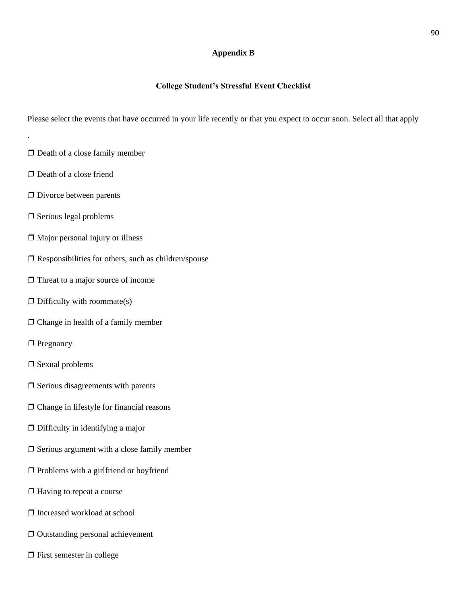### **Appendix B**

### **College Student's Stressful Event Checklist**

Please select the events that have occurred in your life recently or that you expect to occur soon. Select all that apply

- ❐ Death of a close family member
- □ Death of a close friend

.

- ❐ Divorce between parents
- ❐ Serious legal problems
- $\Box$  Major personal injury or illness
- $\square$  Responsibilities for others, such as children/spouse
- $\Box$  Threat to a major source of income
- $\Box$  Difficulty with roommate(s)
- ❐ Change in health of a family member
- □ Pregnancy
- ❐ Sexual problems
- $\Box$  Serious disagreements with parents
- ❐ Change in lifestyle for financial reasons
- $\Box$  Difficulty in identifying a major
- ❐ Serious argument with a close family member
- ❐ Problems with a girlfriend or boyfriend
- ❐ Having to repeat a course
- ❐ Increased workload at school
- ❐ Outstanding personal achievement
- ❐ First semester in college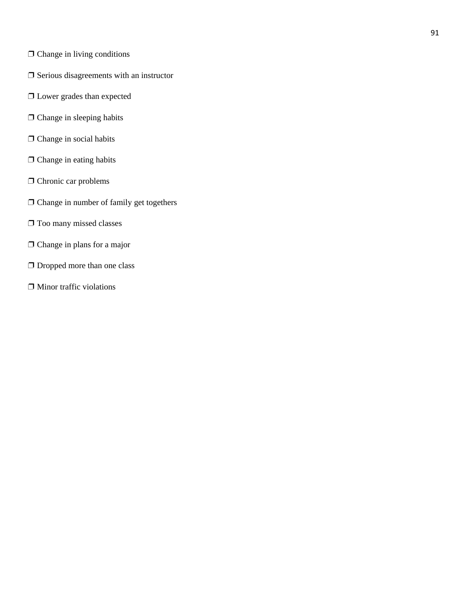- ❐ Change in living conditions
- □ Serious disagreements with an instructor
- ❐ Lower grades than expected
- □ Change in sleeping habits
- □ Change in social habits
- □ Change in eating habits
- □ Chronic car problems
- ❐ Change in number of family get togethers
- ❐ Too many missed classes
- □ Change in plans for a major
- □ Dropped more than one class
- ❐ Minor traffic violations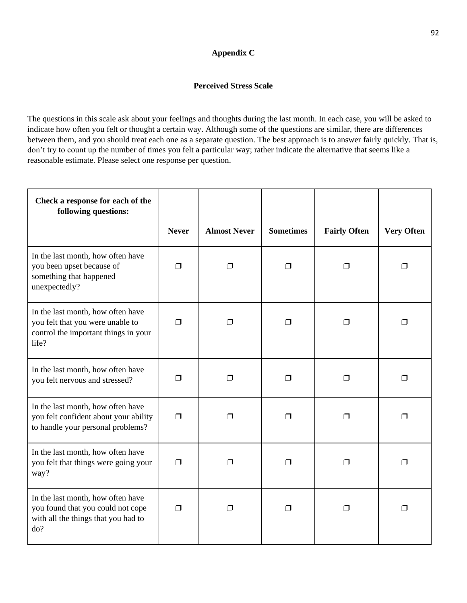# **Appendix C**

# **Perceived Stress Scale**

The questions in this scale ask about your feelings and thoughts during the last month. In each case, you will be asked to indicate how often you felt or thought a certain way. Although some of the questions are similar, there are differences between them, and you should treat each one as a separate question. The best approach is to answer fairly quickly. That is, don't try to count up the number of times you felt a particular way; rather indicate the alternative that seems like a reasonable estimate. Please select one response per question.

| Check a response for each of the<br>following questions:                                                               |              |                     |                  |                     |                   |
|------------------------------------------------------------------------------------------------------------------------|--------------|---------------------|------------------|---------------------|-------------------|
|                                                                                                                        | <b>Never</b> | <b>Almost Never</b> | <b>Sometimes</b> | <b>Fairly Often</b> | <b>Very Often</b> |
| In the last month, how often have<br>you been upset because of<br>something that happened<br>unexpectedly?             | $\Box$       | $\Box$              | ⊓                | ⊓                   | ⊓                 |
| In the last month, how often have<br>you felt that you were unable to<br>control the important things in your<br>life? | $\Box$       | $\Box$              | Π                | ⊓                   | ⊓                 |
| In the last month, how often have<br>you felt nervous and stressed?                                                    | ⊓            | $\Box$              | ⊓                | ⊓                   | ⊓                 |
| In the last month, how often have<br>you felt confident about your ability<br>to handle your personal problems?        | $\Box$       | $\Box$              | $\Box$           | ⊓                   | ⊓                 |
| In the last month, how often have<br>you felt that things were going your<br>way?                                      | $\Box$       | ⊓                   | $\Box$           | ⊓                   | ⊓                 |
| In the last month, how often have<br>you found that you could not cope<br>with all the things that you had to<br>do?   | $\Box$       | ⊓                   | $\Box$           | П                   | П                 |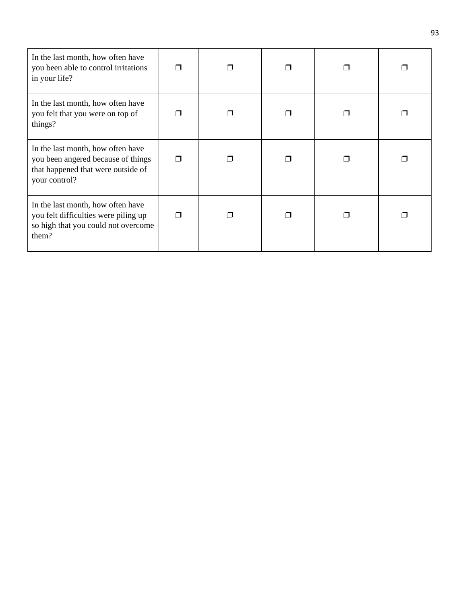| In the last month, how often have<br>you been able to control irritations<br>in your life?                                     |   |   |  |  |
|--------------------------------------------------------------------------------------------------------------------------------|---|---|--|--|
| In the last month, how often have<br>you felt that you were on top of<br>things?                                               |   |   |  |  |
| In the last month, how often have<br>you been angered because of things<br>that happened that were outside of<br>your control? |   |   |  |  |
| In the last month, how often have<br>you felt difficulties were piling up<br>so high that you could not overcome<br>them?      | ⊓ | ⊓ |  |  |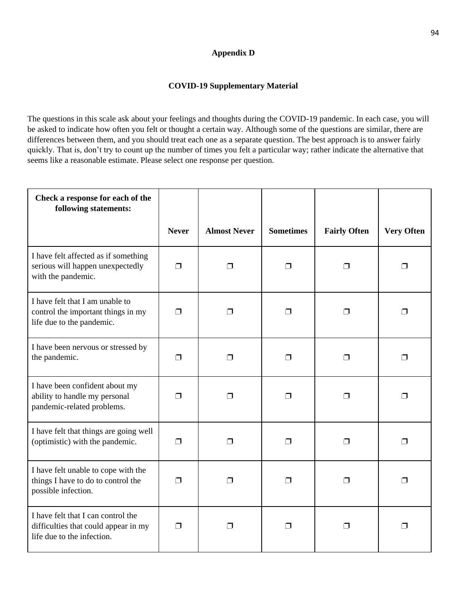# **Appendix D**

## **COVID-19 Supplementary Material**

The questions in this scale ask about your feelings and thoughts during the COVID-19 pandemic. In each case, you will be asked to indicate how often you felt or thought a certain way. Although some of the questions are similar, there are differences between them, and you should treat each one as a separate question. The best approach is to answer fairly quickly. That is, don't try to count up the number of times you felt a particular way; rather indicate the alternative that seems like a reasonable estimate. Please select one response per question.

| Check a response for each of the<br>following statements:                                                |              |                     |                  |                     |                   |
|----------------------------------------------------------------------------------------------------------|--------------|---------------------|------------------|---------------------|-------------------|
|                                                                                                          | <b>Never</b> | <b>Almost Never</b> | <b>Sometimes</b> | <b>Fairly Often</b> | <b>Very Often</b> |
| I have felt affected as if something<br>serious will happen unexpectedly<br>with the pandemic.           | $\Box$       | $\Box$              | $\Box$           | ⊓                   | $\Box$            |
| I have felt that I am unable to<br>control the important things in my<br>life due to the pandemic.       | ⊓            | ⊓                   | $\Box$           | ⊓                   | $\Box$            |
| I have been nervous or stressed by<br>the pandemic.                                                      | ⊓            | ⊓                   | $\Box$           | ⊓                   | $\Box$            |
| I have been confident about my<br>ability to handle my personal<br>pandemic-related problems.            | ⊓            | $\Box$              | $\Box$           | ⊓                   | $\Box$            |
| I have felt that things are going well<br>(optimistic) with the pandemic.                                | ⊓            | ⊓                   | $\Box$           | ⊓                   | $\Box$            |
| I have felt unable to cope with the<br>things I have to do to control the<br>possible infection.         | ⊓            | $\Box$              | $\Box$           | $\Box$              | $\Box$            |
| I have felt that I can control the<br>difficulties that could appear in my<br>life due to the infection. | $\Box$       | ⊓                   | ⊓                | ⊓                   | ⊓                 |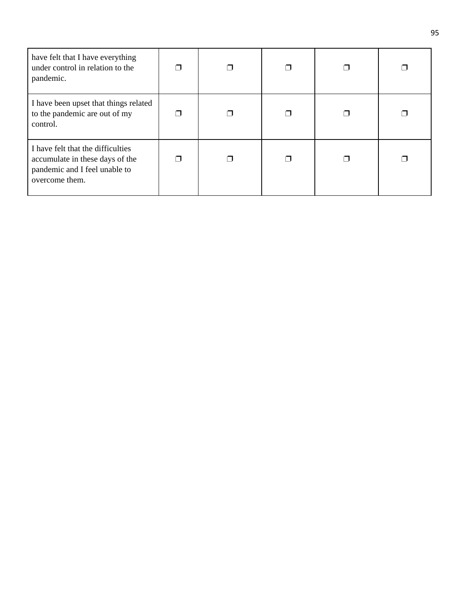| have felt that I have everything<br>under control in relation to the<br>pandemic.                                       |  |  |  |
|-------------------------------------------------------------------------------------------------------------------------|--|--|--|
| I have been upset that things related<br>to the pandemic are out of my<br>control.                                      |  |  |  |
| I have felt that the difficulties<br>accumulate in these days of the<br>pandemic and I feel unable to<br>overcome them. |  |  |  |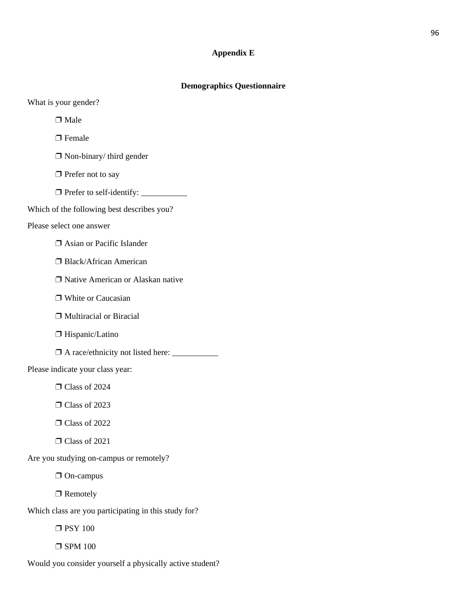# **Appendix E**

# **Demographics Questionnaire**

What is your gender?

□ Male

□ Female

❐ Non-binary/ third gender

□ Prefer not to say

❐ Prefer to self-identify: \_\_\_\_\_\_\_\_\_\_\_

Which of the following best describes you?

#### Please select one answer

❐ Asian or Pacific Islander

❐ Black/African American

❐ Native American or Alaskan native

□ White or Caucasian

❐ Multiracial or Biracial

□ Hispanic/Latino

❐ A race/ethnicity not listed here: \_\_\_\_\_\_\_\_\_\_\_

Please indicate your class year:

 $\Box$  Class of 2024

❐ Class of 2023

❐ Class of 2022

❐ Class of 2021

Are you studying on-campus or remotely?

❐ On-campus

□ Remotely

Which class are you participating in this study for?

❐ PSY 100

 $\square$  SPM 100

Would you consider yourself a physically active student?